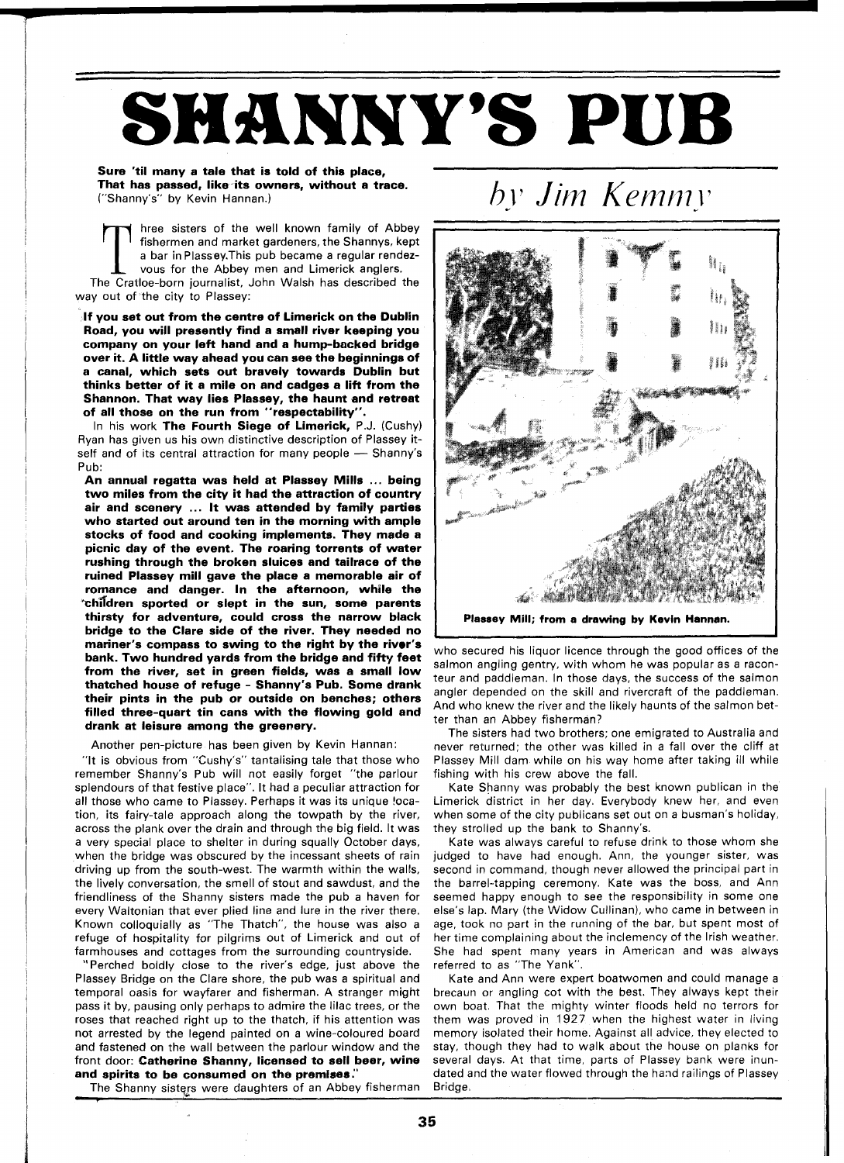## **SHANNY'S PUB**

## Sure 'til many a tale that is told of this place, That has passed, like-its owners, without a trace. ("Shanny's" by Kevin Hannan.)

by Jim Kemmy

hree sisters of the well known family of Abbey fishermen and market gardeners, the Shannys, kept a bar in Plassey.This pub became a regular rendez-**L** vous for the Abbey men and Limerick anglers.

The Cratloe-born journalist, John Walsh has described the way out of the city to Plassey:

If you set out from the centre of Limerick on the Dublin Road, you will presently find a small river keeping you company on your left hand and a hump-backed bridge over it. A little way ahead you can see the beginnings of a canal, which sets out bravely towards Dublin but thinks better of it a mile on and cadges a lift from the Shannon. That way lies Plassey, the haunt and retreat of all those on the run from "respectability".

In his work The Fourth Siege of Limerick, P.J. (Cushy) Ryan has given us his own distinctive description of Plassey itself and of its central attraction for many people - Shanny's Pub:

An annual regatta was held at Plassey Mills ... being two miles from the city it had the attraction of country air and scenery ... It was attended by family parties who started out around ten in the morning with ample stocks of food and cooking implements. They made a picnic day of the event. The roaring torrents of water rushing through the broken sluices and tailrace of the ruined Plassey mill gave the place a memorable air of romance and danger. In the afternoon, while the  $^{\circ}$ children sported or slept in the sun, some parents thirsty for adventure, could cross the narrow black bridge to the Clare side of the river. They needed no mariner's compass to swing to the right by the river's bank. Two hundred yards from the bridge and fifty feet from the river, set in green fields, was a small low thatched house of refuge - Shanny's Pub. Some drank their pints in the pub or outside on benches; others filled three-quart tin cans with the flowing gold and drank at leisure among the greenery.

Another pen-picture has been given by Kevin Hannan:

"It is obvious from "Cushy's" tantalising tale that those who remember Shanny's Pub will not easily forget "the parlour splendours of that festive place". It had a peculiar attraction for all those who came to Plassey. Perhaps it was its unique !ocation, its fairy-tale approach along the towpath by the river, across the plank over the drain and through the big field. It was a very special place to shelter in during squally October days, when the bridge was obscured by the incessant sheets of rain driving up from the south-west. The warmth within the walls, the lively conversation, the smell of stout and sawdust, and the friendliness of the Shanny sisters made the pub a haven for every Waltonian that ever plied line and lure in the river there. Known colloquially as "The Thatch", the house was also a refuge of hospitality for pilgrims out of Limerick and out of farmhouses and cottages from the surrounding countryside.

"Perched boldly close to the river's edge, just above the Plassey Bridge on the Clare shore, the pub was a spiritual and temporal oasis for wayfarer and fisherman. A stranger might pass it by, pausing only perhaps to admire the lilac trees, or the roses that reached right up to the thatch, if his attention was not arrested by the legend painted on a wine-coloured board and fastened on the wall between the parlour window and the front door: Catherine Shanny, licensed to sell beer, wine and spirits to be consumed on the premises:'

The Shanny sisters were daughters of an Abbey fisherman



who secured his liquor licence through the good offices of the

salmon angling gentry, with whom he was popular as a raconteur and paddleman. In those days, the success of the salmon angler depended on the skill and rivercraft of the paddleman. And who knew the river and the likely haunts of the salmon better than an Abbey fisherman?

The sisters had two brothers; one emigrated to Australia and never returned; the other was killed in a fall over the cliff at Plassey Mill dam while on his way home after taking ill while fishing with his crew above the fall.

Kate Shanny was probably the best known publican in the Limerick district in her day. Everybody knew her, and even when some of the city publicans set out on a busman's holiday, they strolled up the bank to Shanny's.

Kate was always careful to refuse drink to those whom she judged to have had enough. Ann, the younger sister, was second in command, though never allowed the principal part in the barrel-tapping ceremony. Kate was the boss, and Ann seemed happy enough to see the responsibility in some one else's lap. Mary (the Widow Cullinan), who came in between in age, took no part in the running of the bar, but spent most of her time complaining about the inclemency of the Irish weather. She had spent many years in American and was always referred to as "The Yank".

Kate and Ann were expert boatwomen and could manage a brecaun or angling cot with the best. They always kept their own boat. That the mighty winter floods held no terrors for them was proved in 1927 when the highest water in living memory isolated their home. Against all advice, they elected to stay, though they had to walk about the house on planks for several days. At that time, parts of Plassey bank were inundated and the water flowed through the hand railings of Plassey Bridge